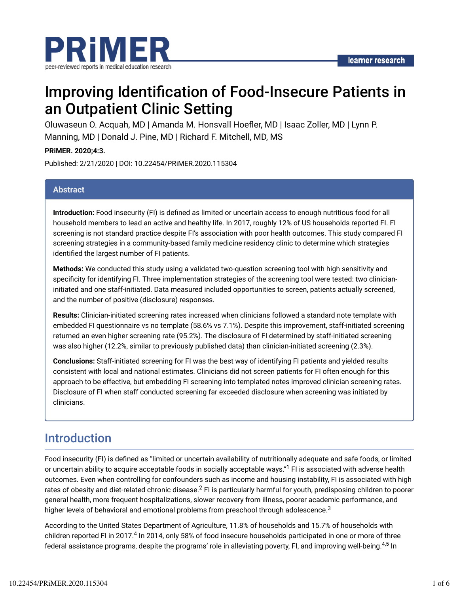

# Improving Identification of Food-Insecure Patients in an Outpatient Clinic Setting

Oluwaseun O. Acquah, MD | Amanda M. Honsvall Hoefler, MD | Isaac Zoller, MD | Lynn P. Manning, MD | Donald J. Pine, MD | Richard F. Mitchell, MD, MS

**PRiMER. 2020;4:3.**

Published: 2/21/2020 | DOI: 10.22454/PRiMER.2020.115304

### **Abstract**

**Introduction:** Food insecurity (FI) is defined as limited or uncertain access to enough nutritious food for all household members to lead an active and healthy life. In 2017, roughly 12% of US households reported FI. FI screening is not standard practice despite FI's association with poor health outcomes. This study compared FI screening strategies in a community-based family medicine residency clinic to determine which strategies identified the largest number of FI patients.

**Methods:** We conducted this study using a validated two-question screening tool with high sensitivity and specificity for identifying FI. Three implementation strategies of the screening tool were tested: two clinicianinitiated and one staff-initiated. Data measured included opportunities to screen, patients actually screened, and the number of positive (disclosure) responses.

**Results:** Clinician-initiated screening rates increased when clinicians followed a standard note template with embedded FI questionnaire vs no template (58.6% vs 7.1%). Despite this improvement, staff-initiated screening returned an even higher screening rate (95.2%). The disclosure of FI determined by staff-initiated screening was also higher (12.2%, similar to previously published data) than clinician-initiated screening (2.3%).

**Conclusions:** Staff-initiated screening for FI was the best way of identifying FI patients and yielded results consistent with local and national estimates. Clinicians did not screen patients for FI often enough for this approach to be effective, but embedding FI screening into templated notes improved clinician screening rates. Disclosure of FI when staff conducted screening far exceeded disclosure when screening was initiated by clinicians.

### Introduction

Food insecurity (FI) is defined as "limited or uncertain availability of nutritionally adequate and safe foods, or limited or uncertain ability to acquire acceptable foods in socially acceptable ways."<sup>1</sup> FI is associated with adverse health outcomes. Even when controlling for confounders such as income and housing instability, FI is associated with high rates of obesity and diet-related chronic disease. $^2$  FI is particularly harmful for youth, predisposing children to poorer general health, more frequent hospitalizations, slower recovery from illness, poorer academic performance, and higher levels of behavioral and emotional problems from preschool through adolescence.<sup>3</sup>

According to the United States Department of Agriculture, 11.8% of households and 15.7% of households with children reported FI in 2017.<sup>4</sup> In 2014, only 58% of food insecure households participated in one or more of three federal assistance programs, despite the programs' role in alleviating poverty, FI, and improving well-being.<sup>4,5</sup> In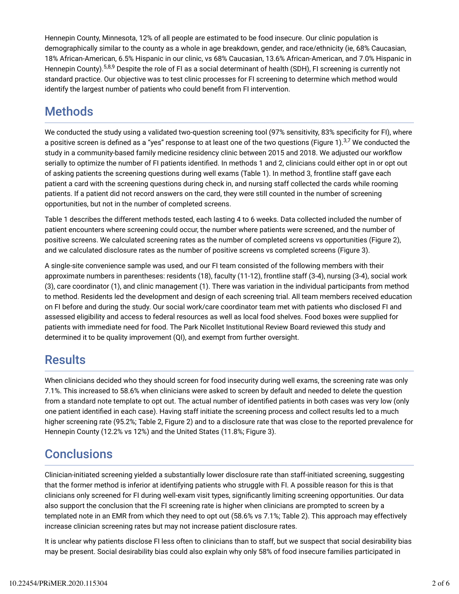Hennepin County, Minnesota, 12% of all people are estimated to be food insecure. Our clinic population is demographically similar to the county as a whole in age breakdown, gender, and race/ethnicity (ie, 68% Caucasian, 18% African-American, 6.5% Hispanic in our clinic, vs 68% Caucasian, 13.6% African-American, and 7.0% Hispanic in Hennepin County).<sup>5,8,9</sup> Despite the role of FI as a social determinant of health (SDH), FI screening is currently not standard practice. Our objective was to test clinic processes for FI screening to determine which method would identify the largest number of patients who could benefit from FI intervention.

## Methods

We conducted the study using a validated two-question screening tool (97% sensitivity, 83% specificity for FI), where a positive screen is defined as a "yes" response to at least one of the two questions (Figure 1). $^{3,7}$  We conducted the study in a community-based family medicine residency clinic between 2015 and 2018. We adjusted our workflow serially to optimize the number of FI patients identified. In methods 1 and 2, clinicians could either opt in or opt out of asking patients the screening questions during well exams (Table 1). In method 3, frontline staff gave each patient a card with the screening questions during check in, and nursing staff collected the cards while rooming patients. If a patient did not record answers on the card, they were still counted in the number of screening opportunities, but not in the number of completed screens.

Table 1 describes the different methods tested, each lasting 4 to 6 weeks. Data collected included the number of patient encounters where screening could occur, the number where patients were screened, and the number of positive screens. We calculated screening rates as the number of completed screens vs opportunities (Figure 2), and we calculated disclosure rates as the number of positive screens vs completed screens (Figure 3).

A single-site convenience sample was used, and our FI team consisted of the following members with their approximate numbers in parentheses: residents (18), faculty (11-12), frontline staff (3-4), nursing (3-4), social work (3), care coordinator (1), and clinic management (1). There was variation in the individual participants from method to method. Residents led the development and design of each screening trial. All team members received education on FI before and during the study. Our social work/care coordinator team met with patients who disclosed FI and assessed eligibility and access to federal resources as well as local food shelves. Food boxes were supplied for patients with immediate need for food. The Park Nicollet Institutional Review Board reviewed this study and determined it to be quality improvement (QI), and exempt from further oversight.

## **Results**

When clinicians decided who they should screen for food insecurity during well exams, the screening rate was only 7.1%. This increased to 58.6% when clinicians were asked to screen by default and needed to delete the question from a standard note template to opt out. The actual number of identified patients in both cases was very low (only one patient identified in each case). Having staff initiate the screening process and collect results led to a much higher screening rate (95.2%; Table 2, Figure 2) and to a disclosure rate that was close to the reported prevalence for Hennepin County (12.2% vs 12%) and the United States (11.8%; Figure 3).

## **Conclusions**

Clinician-initiated screening yielded a substantially lower disclosure rate than staff-initiated screening, suggesting that the former method is inferior at identifying patients who struggle with FI. A possible reason for this is that clinicians only screened for FI during well-exam visit types, significantly limiting screening opportunities. Our data also support the conclusion that the FI screening rate is higher when clinicians are prompted to screen by a templated note in an EMR from which they need to opt out (58.6% vs 7.1%; Table 2). This approach may effectively increase clinician screening rates but may not increase patient disclosure rates.

It is unclear why patients disclose FI less often to clinicians than to staff, but we suspect that social desirability bias may be present. Social desirability bias could also explain why only 58% of food insecure families participated in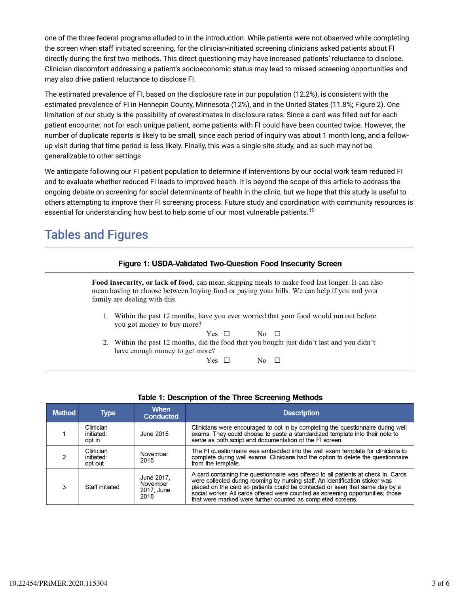one of the three federal programs alluded to in the introduction. While patients were not observed while completing the screen when staff initiated screening, for the clinician-initiated screening clinicians asked patients about FI directly during the first two methods. This direct questioning may have increased patients' reluctance to disclose. Clinician discomfort addressing a patient's socioeconomic status may lead to missed screening opportunities and may also drive patient reluctance to disclose FI.

The estimated prevalence of FI, based on the disclosure rate in our population (12.2%), is consistent with the estimated prevalence of FI in Hennepin County, Minnesota (12%), and in the United States (11.8%; Figure 2). One limitation of our study is the possibility of overestimates in disclosure rates. Since a card was filled out for each patient encounter, not for each unique patient, some patients with FI could have been counted twice. However, the number of duplicate reports is likely to be small, since each period of inquiry was about 1 month long, and a followup visit during that time period is less likely. Finally, this was a single-site study, and as such may not be generalizable to other settings.

We anticipate following our FI patient population to determine if interventions by our social work team reduced FI and to evaluate whether reduced FI leads to improved health. It is beyond the scope of this article to address the ongoing debate on screening for social determinants of health in the clinic, but we hope that this study is useful to others attempting to improve their FI screening process. Future study and coordination with community resources is essential for understanding how best to help some of our most vulnerable patients. $^{\rm 10}$ 

## Tables and Figures

| <b>Figure 1: USDA-Validated Two-Question Food Insecurity Screen</b>                                                                                                                                                             |  |  |  |  |  |  |  |  |
|---------------------------------------------------------------------------------------------------------------------------------------------------------------------------------------------------------------------------------|--|--|--|--|--|--|--|--|
| Food insecurity, or lack of food, can mean skipping meals to make food last longer. It can also<br>mean having to choose between buying food or paying your bills. We can help if you and your<br>family are dealing with this. |  |  |  |  |  |  |  |  |
| 1. Within the past 12 months, have you ever worried that your food would run out before<br>you got money to buy more?                                                                                                           |  |  |  |  |  |  |  |  |
| Yes $\Box$<br>$\overline{N_0}$ $\Box$<br>2. Within the past 12 months, did the food that you bought just didn't last and you didn't<br>have enough money to get more?                                                           |  |  |  |  |  |  |  |  |
| $Yes \;\;\Box$<br>No $\Box$                                                                                                                                                                                                     |  |  |  |  |  |  |  |  |

| Table 1: Description of the Three Screening Methods |
|-----------------------------------------------------|
|-----------------------------------------------------|

| <b>Method</b> | <b>Type</b>                        | <b>When</b><br><b>Conducted</b>              | <b>Description</b>                                                                                                                                                                                                                                                                                                                                                                                 |  |  |  |
|---------------|------------------------------------|----------------------------------------------|----------------------------------------------------------------------------------------------------------------------------------------------------------------------------------------------------------------------------------------------------------------------------------------------------------------------------------------------------------------------------------------------------|--|--|--|
|               | Clinician<br>initiated:<br>opt in  | June 2015                                    | Clinicians were encouraged to opt in by completing the questionnaire during well<br>exams. They could choose to paste a standardized template into their note to<br>serve as both script and documentation of the FI screen.                                                                                                                                                                       |  |  |  |
| 2             | Clinician<br>initiated:<br>opt out | November<br>2015                             | The FI questionnaire was embedded into the well exam template for clinicians to<br>complete during well exams. Clinicians had the option to delete the questionnaire<br>from the template.                                                                                                                                                                                                         |  |  |  |
| 3             | Staff initiated                    | June 2017.<br>November<br>2017, June<br>2018 | A card containing the questionnaire was offered to all patients at check in. Cards were collected during rooming by nursing staff. An identification sticker was<br>placed on the card so patients could be contacted or seen that same day by a<br>social worker. All cards offered were counted as screening opportunities; those<br>that were marked were further counted as completed screens. |  |  |  |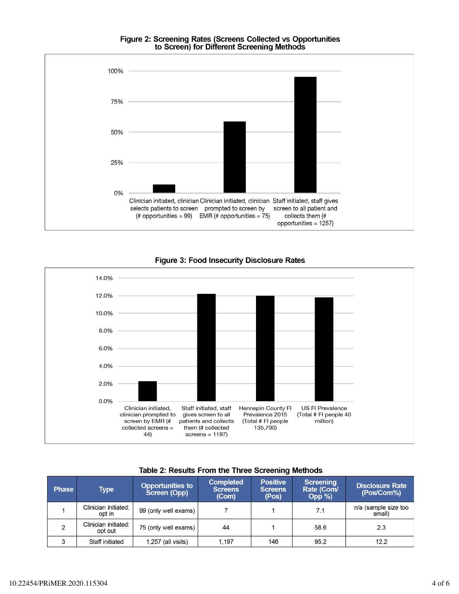#### Figure 2: Screening Rates (Screens Collected vs Opportunities to Screen) for Different Screening Methods





#### **Figure 3: Food Insecurity Disclosure Rates**

| <b>Phase</b> | Type                            | <b>Opportunities to</b><br>Screen (Opp) | <b>Completed</b><br><b>Screens</b><br>(Com) | <b>Positive</b><br>Screens<br>(Pos) | Screening<br>Rate (Com/<br>$Opp\%$ | <b>Disclosure Rate</b><br>(Pos/Com%) |
|--------------|---------------------------------|-----------------------------------------|---------------------------------------------|-------------------------------------|------------------------------------|--------------------------------------|
|              | Clinician initiated:<br>opt in  | 99 (only well exams)                    |                                             |                                     | 7.1                                | n/a (sample size too<br>small)       |
|              | Clinician initiated:<br>opt out | 75 (only well exams)                    | 44                                          |                                     | 58.6                               | 2.3                                  |
|              | Staff initiated                 | $1,257$ (all visits)                    | 1.197                                       | 146                                 | 95.2                               | 12.2                                 |

## Table 2: Results From the Three Screening Methods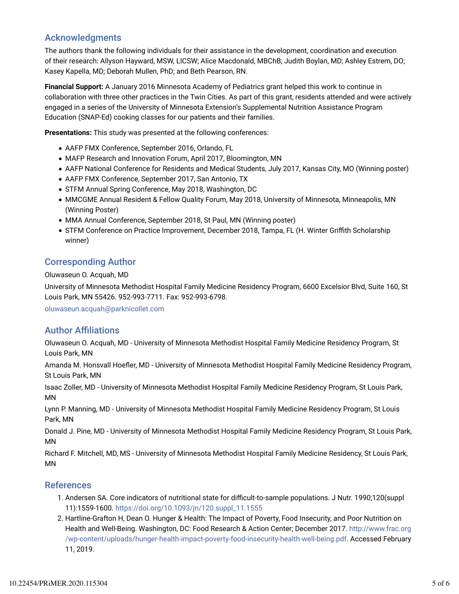### Acknowledgments

The authors thank the following individuals for their assistance in the development, coordination and execution of their research: Allyson Hayward, MSW, LICSW; Alice Macdonald, MBChB; Judith Boylan, MD; Ashley Estrem, DO; Kasey Kapella, MD; Deborah Mullen, PhD; and Beth Pearson, RN.

**Financial Support:** A January 2016 Minnesota Academy of Pediatrics grant helped this work to continue in collaboration with three other practices in the Twin Cities. As part of this grant, residents attended and were actively engaged in a series of the University of Minnesota Extension's Supplemental Nutrition Assistance Program Education (SNAP-Ed) cooking classes for our patients and their families.

**Presentations:** This study was presented at the following conferences:

- AAFP FMX Conference, September 2016, Orlando, FL
- MAFP Research and Innovation Forum, April 2017, Bloomington, MN
- AAFP National Conference for Residents and Medical Students, July 2017, Kansas City, MO (Winning poster)
- AAFP FMX Conference, September 2017, San Antonio, TX
- STFM Annual Spring Conference, May 2018, Washington, DC
- MMCGME Annual Resident & Fellow Quality Forum, May 2018, University of Minnesota, Minneapolis, MN (Winning Poster)
- MMA Annual Conference, September 2018, St Paul, MN (Winning poster)
- STFM Conference on Practice Improvement, December 2018, Tampa, FL (H. Winter Griffith Scholarship winner)

### Corresponding Author

Oluwaseun O. Acquah, MD

University of Minnesota Methodist Hospital Family Medicine Residency Program, 6600 Excelsior Blvd, Suite 160, St Louis Park, MN 55426. 952-993-7711. Fax: 952-993-6798.

oluwaseun.acquah@parknicollet.com

### **Author Affiliations**

Oluwaseun O. Acquah, MD - University of Minnesota Methodist Hospital Family Medicine Residency Program, St Louis Park, MN

Amanda M. Honsvall Hoefler, MD - University of Minnesota Methodist Hospital Family Medicine Residency Program, St Louis Park, MN

Isaac Zoller, MD - University of Minnesota Methodist Hospital Family Medicine Residency Program, St Louis Park, MN

Lynn P. Manning, MD - University of Minnesota Methodist Hospital Family Medicine Residency Program, St Louis Park, MN

Donald J. Pine, MD - University of Minnesota Methodist Hospital Family Medicine Residency Program, St Louis Park, MN

Richard F. Mitchell, MD, MS - University of Minnesota Methodist Hospital Family Medicine Residency, St Louis Park, MN

### References

- 1. Andersen SA. Core indicators of nutritional state for difficult-to-sample populations. J Nutr. 1990;120(suppl 11):1559-1600. https://doi.org/10.1093/jn/120.suppl\_11.1555
- 2. Hartline-Grafton H, Dean O. Hunger & Health: The Impact of Poverty, Food Insecurity, and Poor Nutrition on Health and Well-Being. Washington, DC: Food Research & Action Center; December 2017. http://www.frac.org /wp-content/uploads/hunger-health-impact-poverty-food-insecurity-health-well-being.pdf. Accessed February 11, 2019.